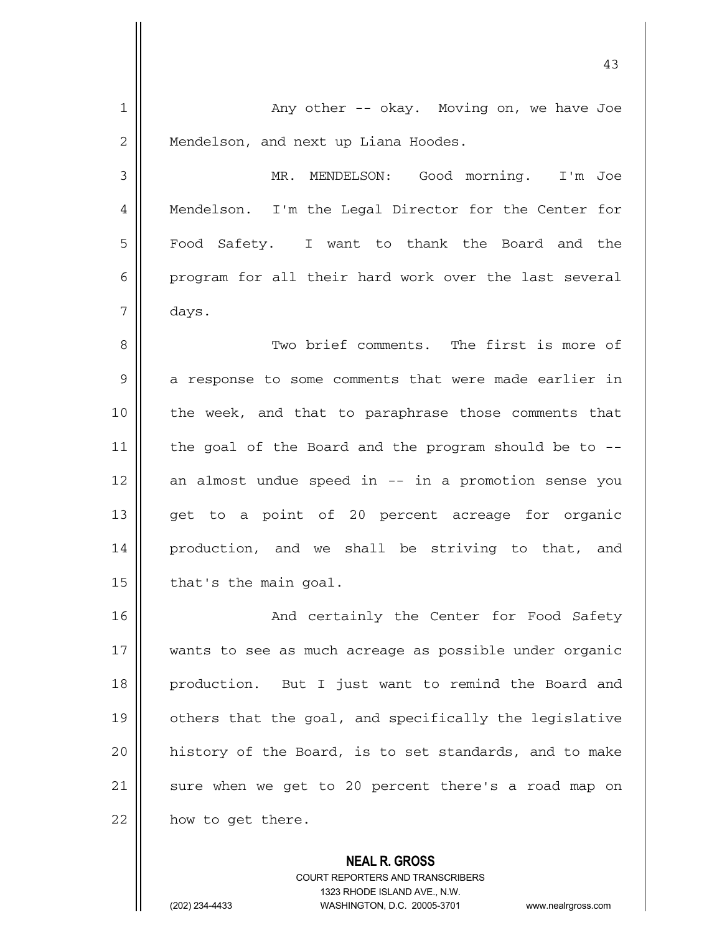| $\mathbf 1$ | Any other -- okay. Moving on, we have Joe              |
|-------------|--------------------------------------------------------|
| 2           | Mendelson, and next up Liana Hoodes.                   |
| 3           | MR. MENDELSON: Good morning. I'm Joe                   |
| 4           | Mendelson. I'm the Legal Director for the Center for   |
| 5           | Food Safety. I want to thank the Board and the         |
| 6           | program for all their hard work over the last several  |
| 7           | days.                                                  |
| 8           | Two brief comments. The first is more of               |
| 9           | a response to some comments that were made earlier in  |
| 10          | the week, and that to paraphrase those comments that   |
| 11          | the goal of the Board and the program should be to --  |
| 12          | an almost undue speed in -- in a promotion sense you   |
| 13          | get to a point of 20 percent acreage for organic       |
| 14          | production, and we shall be striving to that, and      |
| 15          | that's the main goal.                                  |
| 16          | And certainly the Center for Food Safety               |
| 17          | wants to see as much acreage as possible under organic |
| 18          | production. But I just want to remind the Board and    |
| 19          | others that the goal, and specifically the legislative |
| 20          | history of the Board, is to set standards, and to make |
| 21          | sure when we get to 20 percent there's a road map on   |
| 22          | how to get there.                                      |
|             | <b>NEAL R. GROSS</b>                                   |

43

COURT REPORTERS AND TRANSCRIBERS 1323 RHODE ISLAND AVE., N.W. (202) 234-4433 WASHINGTON, D.C. 20005-3701 www.nealrgross.com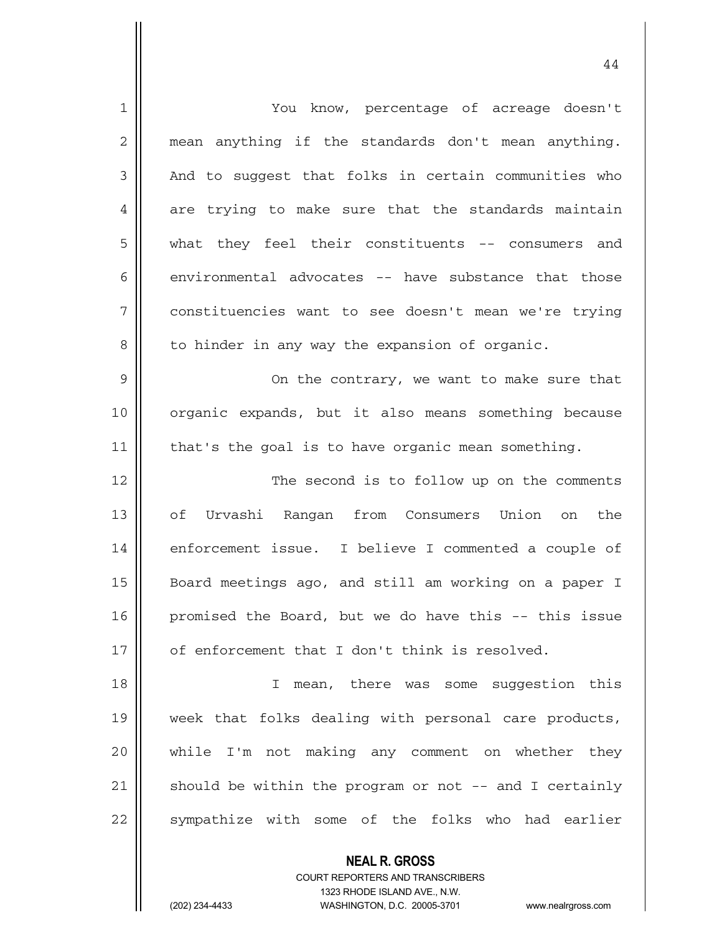| $\mathbf 1$ | You know, percentage of acreage doesn't                |
|-------------|--------------------------------------------------------|
| 2           | mean anything if the standards don't mean anything.    |
| 3           | And to suggest that folks in certain communities who   |
| 4           | are trying to make sure that the standards maintain    |
| 5           | what they feel their constituents -- consumers and     |
| 6           | environmental advocates -- have substance that those   |
| 7           | constituencies want to see doesn't mean we're trying   |
| 8           | to hinder in any way the expansion of organic.         |
| 9           | On the contrary, we want to make sure that             |
| 10          | organic expands, but it also means something because   |
| 11          | that's the goal is to have organic mean something.     |
| 12          | The second is to follow up on the comments             |
| 13          | of Urvashi Rangan from Consumers Union on the          |
| 14          | enforcement issue. I believe I commented a couple of   |
| 15          | Board meetings ago, and still am working on a paper I  |
| 16          | promised the Board, but we do have this -- this issue  |
| 17          | of enforcement that I don't think is resolved.         |
| 18          | mean, there was some suggestion this<br>I.             |
| 19          | week that folks dealing with personal care products,   |
| 20          | while I'm not making any comment on whether they       |
| 21          | should be within the program or not -- and I certainly |
| 22          | sympathize with some of the folks who had earlier      |
|             | <b>NEAL R. GROSS</b>                                   |

COURT REPORTERS AND TRANSCRIBERS 1323 RHODE ISLAND AVE., N.W.

44

(202) 234-4433 WASHINGTON, D.C. 20005-3701 www.nealrgross.com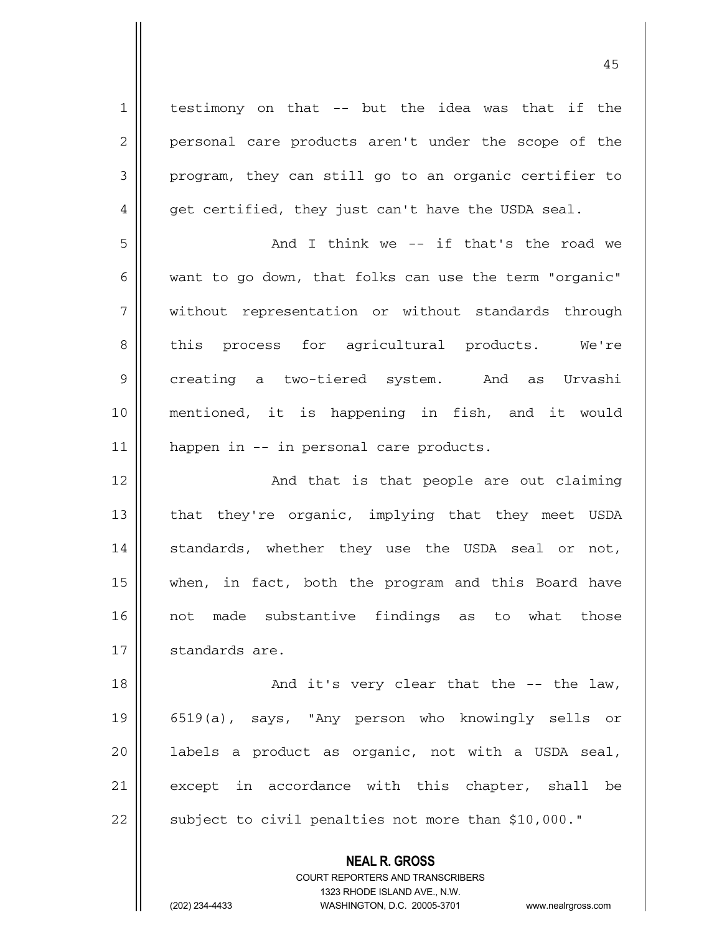testimony on that -- but the idea was that if the personal care products aren't under the scope of the program, they can still go to an organic certifier to get certified, they just can't have the USDA seal.

1

2

3

4

5 6 7 8 9 10 11 And I think we -- if that's the road we want to go down, that folks can use the term "organic" without representation or without standards through this process for agricultural products. We're creating a two-tiered system. And as Urvashi mentioned, it is happening in fish, and it would happen in -- in personal care products.

12 13 14 15 16 17 And that is that people are out claiming that they're organic, implying that they meet USDA standards, whether they use the USDA seal or not, when, in fact, both the program and this Board have not made substantive findings as to what those standards are.

18 19 20 21 22 And it's very clear that the -- the law, 6519(a), says, "Any person who knowingly sells or labels a product as organic, not with a USDA seal, except in accordance with this chapter, shall be subject to civil penalties not more than \$10,000."

> **NEAL R. GROSS** COURT REPORTERS AND TRANSCRIBERS 1323 RHODE ISLAND AVE., N.W. (202) 234-4433 WASHINGTON, D.C. 20005-3701 www.nealrgross.com

45